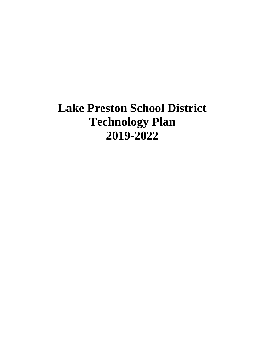# **Lake Preston School District Technology Plan 2019-2022**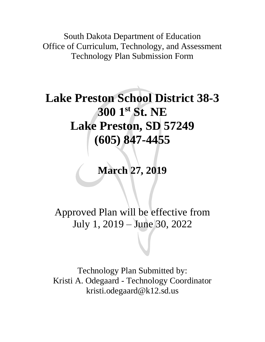South Dakota Department of Education Office of Curriculum, Technology, and Assessment Technology Plan Submission Form

# **Lake Preston School District 38-3 300 1st St. NE Lake Preston, SD 57249 (605) 847-4455**

## **March 27, 2019**

## Approved Plan will be effective from July 1, 2019 – June 30, 2022

Technology Plan Submitted by: Kristi A. Odegaard - Technology Coordinator kristi.odegaard@k12.sd.us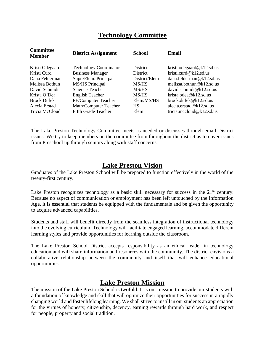## **Technology Committee**

| <b>District Assignment</b>    | <b>School</b>   | <b>Email</b>                 |
|-------------------------------|-----------------|------------------------------|
| <b>Technology Coordinator</b> | <b>District</b> | kristi.odegaard@k12.sd.us    |
| <b>Business Manager</b>       | District        | kristi.curd@k12.sd.us        |
| Supt./Elem. Principal         | District/Elem   | dana.felderman@k12.sd.us     |
| <b>MS/HS Principal</b>        | MS/HS           | melissa.bothun@ $k12$ .sd.us |
| <b>Science Teacher</b>        | MS/HS           | david.schmidt@k12.sd.us      |
| <b>English Teacher</b>        | MS/HS           | krista.odea@k12.sd.us        |
| PE/Computer Teacher           | Elem/MS/HS      | brock.dufek@k12.sd.us        |
| Math/Computer Teacher         | <b>HS</b>       | alecia.erstad@k12.sd.us      |
| Fifth Grade Teacher           | Elem            | tricia.mccloud@k12.sd.us     |
|                               |                 |                              |

The Lake Preston Technology Committee meets as needed or discusses through email District issues. We try to keep members on the committee from throughout the district as to cover issues from Preschool up through seniors along with staff concerns.

## **Lake Preston Vision**

Graduates of the Lake Preston School will be prepared to function effectively in the world of the twenty-first century.

Lake Preston recognizes technology as a basic skill necessary for success in the  $21<sup>st</sup>$  century. Because no aspect of communication or employment has been left untouched by the Information Age, it is essential that students be equipped with the fundamentals and be given the opportunity to acquire advanced capabilities.

Students and staff will benefit directly from the seamless integration of instructional technology into the evolving curriculum. Technology will facilitate engaged learning, accommodate different learning styles and provide opportunities for learning outside the classroom.

The Lake Preston School District accepts responsibility as an ethical leader in technology education and will share information and resources with the community. The district envisions a collaborative relationship between the community and itself that will enhance educational opportunities.

## **Lake Preston Mission**

The mission of the Lake Preston School is twofold. It is our mission to provide our students with a foundation of knowledge and skill that will optimize their opportunities for success in a rapidly changing world and foster lifelong learning. We shall strive to instill in our students an appreciation for the virtues of honesty, citizenship, decency, earning rewards through hard work, and respect for people, property and social tradition.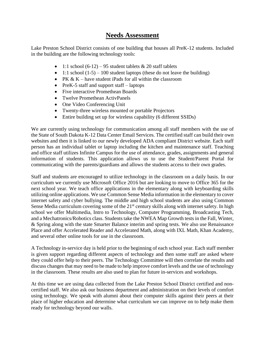## **Needs Assessment**

Lake Preston School District consists of one building that houses all PreK-12 students. Included in the building are the following technology tools:

- 1:1 school  $(6-12)$  95 student tablets & 20 staff tablets
- 1:1 school  $(1-5) 100$  student laptops (these do not leave the building)
- PK  $& K$  have student iPads for all within the classroom
- PreK-5 staff and support staff laptops
- Five interactive Promethean Boards
- Twelve Promethean ActivPanels
- One Video Conferencing Unit
- Twenty-three wireless mounted or portable Projectors
- Entire building set up for wireless capability (6 different SSIDs)

We are currently using technology for communication among all staff members with the use of the State of South Dakota K-12 Data Center Email Services. The certified staff can build their own websites and then it is linked to our newly developed ADA compliant District website. Each staff person has an individual tablet or laptop including the kitchen and maintenance staff. Teaching and office staff utilizes Infinite Campus for the use of attendance, grades, assignments and general information of students. This application allows us to use the Student/Parent Portal for communicating with the parents/guardians and allows the students access to their own grades.

Staff and students are encouraged to utilize technology in the classroom on a daily basis. In our curriculum we currently use Microsoft Office 2016 but are looking to move to Office 365 for the next school year. We teach office applications in the elementary along with keyboarding skills utilizing online applications. We use Common Sense Media information in the elementary to cover internet safety and cyber bullying. The middle and high school students are also using Common Sense Media curriculum covering some of the 21<sup>st</sup> century skills along with internet safety. In high school we offer Multimedia, Intro to Technology, Computer Programming, Broadcasting Tech, and a Mechatronics/Robotics class. Students take the NWEA Map Growth tests in the Fall, Winter, & Spring along with the state Smarter Balance interim and spring tests. We also use Renaissance Place and offer Accelerated Reader and Accelerated Math, along with IXL Math, Khan Academy, and several other online tools for use in the classroom.

A Technology in-service day is held prior to the beginning of each school year. Each staff member is given support regarding different aspects of technology and then some staff are asked where they could offer help to their peers. The Technology Committee will then correlate the results and discuss changes that may need to be made to help improve comfort levels and the use of technology in the classroom. These results are also used to plan for future in-services and workshops.

At this time we are using data collected from the Lake Preston School District certified and noncertified staff. We also ask our business department and administration on their levels of comfort using technology. We speak with alumni about their computer skills against their peers at their place of higher education and determine what curriculum we can improve on to help make them ready for technology beyond our walls.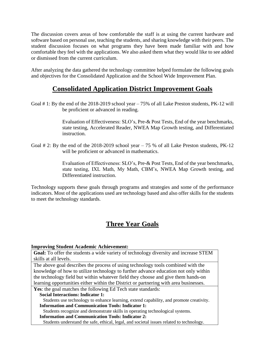The discussion covers areas of how comfortable the staff is at using the current hardware and software based on personal use, teaching the students, and sharing knowledge with their peers. The student discussion focuses on what programs they have been made familiar with and how comfortable they feel with the applications. We also asked them what they would like to see added or dismissed from the current curriculum.

After analyzing the data gathered the technology committee helped formulate the following goals and objectives for the Consolidated Application and the School Wide Improvement Plan.

## **Consolidated Application District Improvement Goals**

Goal # 1: By the end of the 2018-2019 school year – 75% of all Lake Preston students, PK-12 will be proficient or advanced in reading.

> Evaluation of Effectiveness: SLO's, Pre-& Post Tests, End of the year benchmarks, state testing, Accelerated Reader, NWEA Map Growth testing, and Differentiated instruction.

Goal  $\#$  2: By the end of the 2018-2019 school year  $-75$  % of all Lake Preston students, PK-12 will be proficient or advanced in mathematics.

> Evaluation of Effectiveness: SLO's, Pre-& Post Tests, End of the year benchmarks, state testing, IXL Math, My Math, CBM's, NWEA Map Growth testing, and Differentiated instruction.

Technology supports these goals through programs and strategies and some of the performance indicators. Most of the applications used are technology based and also offer skills for the students to meet the technology standards.

## **Three Year Goals**

#### **Improving Student Academic Achievement:**

**Goal:** To offer the students a wide variety of technology diversity and increase STEM skills at all levels.

The above goal describes the process of using technology tools combined with the knowledge of how to utilize technology to further advance education not only within the technology field but within whatever field they choose and give them hands-on learning opportunities either within the District or partnering with area businesses.

Yes: the goal matches the following Ed Tech state standards:

#### **Social Interactions: Indicator 1:**

 Students use technology to enhance learning, extend capability, and promote creativity.  **Information and Communication Tools: Indicator 1:**

Students recognize and demonstrate skills in operating technological systems.

#### **Information and Communication Tools: Indicator 2:**

Students understand the safe, ethical, legal, and societal issues related to technology.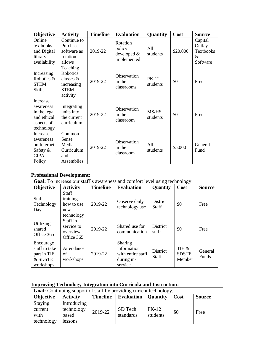| Objective                                                                        | <b>Activity</b>                                                                     | <b>Timeline</b> | <b>Evaluation</b>                                | Quantity                 | Cost     | <b>Source</b>                                              |
|----------------------------------------------------------------------------------|-------------------------------------------------------------------------------------|-----------------|--------------------------------------------------|--------------------------|----------|------------------------------------------------------------|
| Online<br>textbooks<br>and Digital<br>library<br>availability                    | Continue to<br>Purchase<br>software as<br>rotation<br>allows                        | 2019-22         | Rotation<br>policy<br>developed &<br>implemented | All<br>students          | \$20,000 | Capital<br>Outlay $-$<br><b>Textbooks</b><br>&<br>Software |
| Increasing<br>Robotics &<br><b>STEM</b><br><b>Skills</b>                         | Teaching<br><b>Robotics</b><br>classes $&$<br>increasing<br><b>STEM</b><br>activity | 2019-22         | Observation<br>in the<br>classrooms              | <b>PK-12</b><br>students | \$0      | Free                                                       |
| Increase<br>awareness<br>in the legal<br>and ethical<br>aspects of<br>technology | Integrating<br>units into<br>the current<br>curriculum                              | 2019-22         | Observation<br>in the<br>classroom               | MS/HS<br>students        | \$0      | Free                                                       |
| Increase<br>awareness<br>on Internet<br>Safety $\&$<br><b>CIPA</b><br>Policy     | Common<br>Sense<br>Media<br>Curriculum<br>and<br>Assemblies                         | 2019-22         | Observation<br>in the<br>classroom               | All<br>students          | \$5,000  | General<br>Fund                                            |

#### **Professional Development:**

| <b>Goal:</b> To increase our staff's awareness and comfort level using technology |                                                             |                 |                                                                      |                          |                                 |                  |  |
|-----------------------------------------------------------------------------------|-------------------------------------------------------------|-----------------|----------------------------------------------------------------------|--------------------------|---------------------------------|------------------|--|
| Objective                                                                         | <b>Activity</b>                                             | <b>Timeline</b> | <b>Evaluation</b>                                                    | <b>Quantity</b>          | Cost                            | <b>Source</b>    |  |
| <b>Staff</b><br>Technology<br>Day                                                 | <b>Staff</b><br>training<br>how to use<br>new<br>technology | 2019-22         | Observe daily<br>technology use                                      | District<br><b>Staff</b> | \$0                             | Free             |  |
| Utilizing<br>shared<br>Office 365                                                 | Staff in-<br>service to<br>overview<br>Office 365           | 2019-22         | Shared use for<br>communication                                      | <b>District</b><br>staff | \$0                             | Free             |  |
| Encourage<br>staff to take<br>part in TIE<br>& SDSTE<br>workshops                 | Attendance<br>of<br>workshops                               | 2019-22         | Sharing<br>information<br>with entire staff<br>during in-<br>service | District<br><b>Staff</b> | TIE &<br><b>SDSTE</b><br>Member | General<br>Funds |  |

## **Improving Technology Integration into Curricula and Instruction:**

| <b>Goal:</b> Continuing support of staff by providing current technology. |                 |                 |                   |                 |      |               |  |  |
|---------------------------------------------------------------------------|-----------------|-----------------|-------------------|-----------------|------|---------------|--|--|
| <b>Objective</b>                                                          | <b>Activity</b> | <b>Timeline</b> | <b>Evaluation</b> | <b>Ouantity</b> | Cost | <b>Source</b> |  |  |
| Staying                                                                   | Introducing     |                 |                   |                 |      |               |  |  |
| current                                                                   | technology      | 2019-22         | SD Tech           | $PK-12$         | \$0  |               |  |  |
| with                                                                      | based           |                 | standards         | students        |      | Free          |  |  |
| technology                                                                | lessons         |                 |                   |                 |      |               |  |  |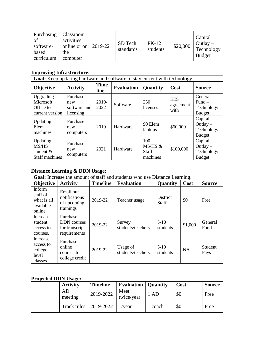| Purchasing<br>of<br>software-<br>based<br>curriculum | Classroom<br>activities<br>online or on<br>the<br>computer | 2019-22 | SD Tech<br>standards | $PK-12$<br>students | \$20,000 | Capital<br>Outlay $-$<br>Technology<br><b>Budget</b> |
|------------------------------------------------------|------------------------------------------------------------|---------|----------------------|---------------------|----------|------------------------------------------------------|
|------------------------------------------------------|------------------------------------------------------------|---------|----------------------|---------------------|----------|------------------------------------------------------|

## **Improving Infrastructure:**

| Goal: Keep updating hardware and software to stay current with technology. |                                              |                     |                   |                                            |                                 |                                                          |  |  |
|----------------------------------------------------------------------------|----------------------------------------------|---------------------|-------------------|--------------------------------------------|---------------------------------|----------------------------------------------------------|--|--|
| Objective                                                                  | <b>Activity</b>                              | <b>Time</b><br>line | <b>Evaluation</b> | Quantity                                   | Cost                            | <b>Source</b>                                            |  |  |
| Upgrading<br>Microsoft<br>Office to<br>current version                     | Purchase<br>new<br>software and<br>licensing | 2019-<br>2022       | Software          | 250<br>licenses                            | <b>EES</b><br>agreement<br>with | <b>General</b><br>$Fund-$<br>Technology<br><b>Budget</b> |  |  |
| Updating<br>Elem<br>machines                                               | Purchase<br>new<br>computers                 | 2019                | Hardware          | 90 Elem<br>laptops                         | \$60,000                        | Capital<br>Outlay $-$<br>Technology<br><b>Budget</b>     |  |  |
| Updating<br>MS/HS<br>student $&$<br>Staff machines                         | Purchase<br>new<br>computers                 | 2021                | Hardware          | 100<br>MS/HS &<br><b>Staff</b><br>machines | \$100,000                       | Capital<br>Outlay $-$<br>Technology<br><b>Budget</b>     |  |  |

### **Distance Learning & DDN Usage:**

| <b>Goal:</b> Increase the amount of staff and students who use Distance Learning. |                                                                  |                 |                               |                          |           |                 |  |
|-----------------------------------------------------------------------------------|------------------------------------------------------------------|-----------------|-------------------------------|--------------------------|-----------|-----------------|--|
| Objective                                                                         | <b>Activity</b>                                                  | <b>Timeline</b> | <b>Evaluation</b>             | <b>Quantity</b>          | Cost      | <b>Source</b>   |  |
| Inform<br>staff of<br>what is all<br>available<br>online                          | Email out<br>notifications<br>of upcoming<br>trainings           | 2019-22         | Teacher usage                 | District<br><b>Staff</b> | \$0       | Free            |  |
| Increase<br>student<br>access to<br>courses.                                      | Purchase<br><b>DDN</b> courses<br>for transcript<br>requirements | 2019-22         | Survey<br>students/teachers   | $5-10$<br>students       | \$1,000   | General<br>Fund |  |
| Increase<br>access to<br>college<br>level<br>classes.                             | Purchase<br>online<br>courses for<br>college credit              | 2019-22         | Usage of<br>students/teachers | $5 - 10$<br>students     | <b>NA</b> | Student<br>Pays |  |

## **Projected DDN Usage:**

| <b>Activity</b>         | <b>Timeline</b> | <b>Evaluation</b>   Quantity |         | Cost | <b>Source</b> |
|-------------------------|-----------------|------------------------------|---------|------|---------------|
| AD<br>meeting           | 2019-2022       | Meet<br>twice/year           | 1 AD    | \$0  | Free          |
| Track rules   2019-2022 |                 | l/vear                       | 1 coach | \$0  | Free          |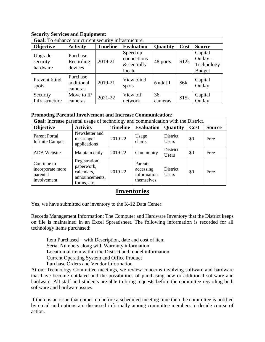#### **Security Services and Equipment:**

| Goal: To enhance our current security infrastructure. |                                   |                 |                                                    |               |       |                                                      |  |  |
|-------------------------------------------------------|-----------------------------------|-----------------|----------------------------------------------------|---------------|-------|------------------------------------------------------|--|--|
| <b>Objective</b>                                      | <b>Activity</b>                   | <b>Timeline</b> | <b>Evaluation</b>                                  | Quantity      | Cost  | <b>Source</b>                                        |  |  |
| Upgrade<br>security<br>hardware                       | Purchase<br>Recording<br>devices  | 2019-21         | Speed up<br>connections<br>$&$ centrally<br>locate | 48 ports      | \$12k | Capital<br>$Outlay -$<br>Technology<br><b>Budget</b> |  |  |
| Prevent blind<br>spots                                | Purchase<br>additional<br>cameras | 2019-21         | View blind<br>spots                                | 6 addt'l      | \$6k  | Capital<br>Outlay                                    |  |  |
| Security<br>Infrastructure                            | Move to IP<br>cameras             | $2021 - 22$     | View off<br>network                                | 36<br>cameras | \$15k | Capital<br>Outlay                                    |  |  |

#### **Promoting Parental Involvement and Increase Communication:**

| Goal: Increase parental usage of technology and communication with the District. |                                                                            |                 |                                                   |                          |      |               |  |  |
|----------------------------------------------------------------------------------|----------------------------------------------------------------------------|-----------------|---------------------------------------------------|--------------------------|------|---------------|--|--|
| <b>Objective</b>                                                                 | <b>Activity</b>                                                            | <b>Timeline</b> | <b>Evaluation</b>                                 | <b>Quantity</b>          | Cost | <b>Source</b> |  |  |
| <b>Parent Portal</b><br><b>Infinite Campus</b>                                   | Newsletter and<br>messenger<br>applications                                | 2019-22         | Usage<br>charts                                   | District<br><b>Users</b> | \$0  | Free          |  |  |
| <b>ADA</b> Website                                                               | Maintain daily                                                             | 2019-22         | Community                                         | District<br><b>Users</b> | \$0  | Free          |  |  |
| Continue to<br>incorporate more<br>parental<br>involvement                       | Registration,<br>paperwork,<br>calendars,<br>announcements,<br>forms, etc. | 2019-22         | Parents<br>accessing<br>information<br>themselves | District<br><b>Users</b> | \$0  | Free          |  |  |

## **Inventories**

Yes, we have submitted our inventory to the K-12 Data Center.

Records Management Information: The Computer and Hardware Inventory that the District keeps on file is maintained in an Excel Spreadsheet. The following information is recorded for all technology items purchased:

Item Purchased – with Description, date and cost of item Serial Numbers along with Warranty information Location of item within the District and model information Current Operating System and Office Product Purchase Orders and Vendor Information

At our Technology Committee meetings, we review concerns involving software and hardware that have become outdated and the possibilities of purchasing new or additional software and hardware. All staff and students are able to bring requests before the committee regarding both software and hardware issues.

If there is an issue that comes up before a scheduled meeting time then the committee is notified by email and options are discussed informally among committee members to decide course of action.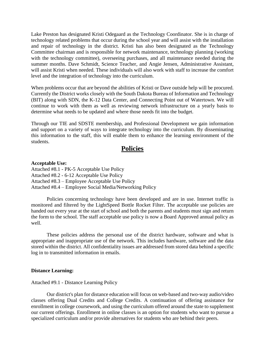Lake Preston has designated Kristi Odegaard as the Technology Coordinator. She is in charge of technology related problems that occur during the school year and will assist with the installation and repair of technology in the district. Kristi has also been designated as the Technology Committee chairman and is responsible for network maintenance, technology planning (working with the technology committee), overseeing purchases, and all maintenance needed during the summer months. Dave Schmidt, Science Teacher, and Angie Jensen, Administrative Assistant, will assist Kristi when needed. These individuals will also work with staff to increase the comfort level and the integration of technology into the curriculum.

When problems occur that are beyond the abilities of Kristi or Dave outside help will be procured. Currently the District works closely with the South Dakota Bureau of Information and Technology (BIT) along with SDN, the K-12 Data Center, and Connecting Point out of Watertown. We will continue to work with them as well as reviewing network infrastructure on a yearly basis to determine what needs to be updated and where those needs fit into the budget.

Through our TIE and SDSTE membership, and Professional Development we gain information and support on a variety of ways to integrate technology into the curriculum. By disseminating this information to the staff, this will enable them to enhance the learning environment of the students.

## **Policies**

#### **Acceptable Use:**

Attached #8.1 - PK-5 Acceptable Use Policy Attached #8.2 - 6-12 Acceptable Use Policy Attached #8.3 – Employee Acceptable Use Policy Attached #8.4 – Employee Social Media/Networking Policy

Policies concerning technology have been developed and are in use. Internet traffic is monitored and filtered by the LightSpeed Bottle Rocket Filter. The acceptable use policies are handed out every year at the start of school and both the parents and students must sign and return the form to the school. The staff acceptable use policy is now a Board Approved annual policy as well.

These policies address the personal use of the district hardware, software and what is appropriate and inappropriate use of the network. This includes hardware, software and the data stored within the district. All confidentiality issues are addressed from stored data behind a specific log in to transmitted information in emails.

#### **Distance Learning:**

Attached #9.1 - Distance Learning Policy

Our district's plan for distance education will focus on web-based and two-way audio/video classes offering Dual Credits and College Credits. A continuation of offering assistance for enrollment in college coursework, and using the curriculum offered around the state to supplement our current offerings. Enrollment in online classes is an option for students who want to pursue a specialized curriculum and/or provide alternatives for students who are behind their peers.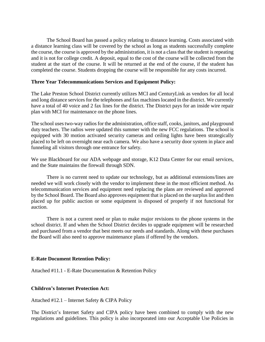The School Board has passed a policy relating to distance learning. Costs associated with a distance learning class will be covered by the school as long as students successfully complete the course, the course is approved by the administration, it is not a class that the student is repeating and it is not for college credit. A deposit, equal to the cost of the course will be collected from the student at the start of the course. It will be returned at the end of the course, if the student has completed the course. Students dropping the course will be responsible for any costs incurred.

#### **Three Year Telecommunications Services and Equipment Policy:**

The Lake Preston School District currently utilizes MCI and CenturyLink as vendors for all local and long distance services for the telephones and fax machines located in the district. We currently have a total of 40 voice and 2 fax lines for the district. The District pays for an inside wire repair plan with MCI for maintenance on the phone lines.

The school uses two-way radios for the administration, office staff, cooks, janitors, and playground duty teachers. The radios were updated this summer with the new FCC regulations. The school is equipped with 30 motion activated security cameras and ceiling lights have been strategically placed to be left on overnight near each camera. We also have a security door system in place and funneling all visitors through one entrance for safety.

We use Blackboard for our ADA webpage and storage, K12 Data Center for our email services, and the State maintains the firewall through SDN.

There is no current need to update our technology, but as additional extensions/lines are needed we will work closely with the vendor to implement these in the most efficient method. As telecommunication services and equipment need replacing the plans are reviewed and approved by the School Board. The Board also approves equipment that is placed on the surplus list and then placed up for public auction or some equipment is disposed of properly if not functional for auction.

There is not a current need or plan to make major revisions to the phone systems in the school district. If and when the School District decides to upgrade equipment will be researched and purchased from a vendor that best meets our needs and standards. Along with these purchases the Board will also need to approve maintenance plans if offered by the vendors.

#### **E-Rate Document Retention Policy:**

Attached #11.1 - E-Rate Documentation & Retention Policy

#### **Children's Internet Protection Act:**

Attached #12.1 – Internet Safety & CIPA Policy

The District's Internet Safety and CIPA policy have been combined to comply with the new regulations and guidelines. This policy is also incorporated into our Acceptable Use Policies in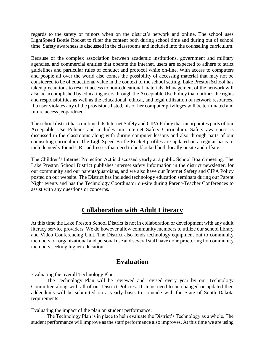regards to the safety of minors when on the district's network and online. The school uses LightSpeed Bottle Rocket to filter the content both during school time and during out of school time. Safety awareness is discussed in the classrooms and included into the counseling curriculum.

Because of the complex association between academic institutions, government and military agencies, and commercial entities that operate the Internet, users are expected to adhere to strict guidelines and particular rules of conduct and protocol while on-line. With access to computers and people all over the world also comes the possibility of accessing material that may not be considered to be of educational value in the context of the school setting. Lake Preston School has taken precautions to restrict access to non-educational materials. Management of the network will also be accomplished by educating users through the Acceptable Use Policy that outlines the rights and responsibilities as well as the educational, ethical, and legal utilization of network resources. If a user violates any of the provisions listed, his or her computer privileges will be terminated and future access jeopardized.

The school district has combined its Internet Safety and CIPA Policy that incorporates parts of our Acceptable Use Policies and includes our Internet Safety Curriculum. Safety awareness is discussed in the classrooms along with during computer lessons and also through parts of our counseling curriculum. The LightSpeed Bottle Rocket profiles are updated on a regular basis to include newly found URL addresses that need to be blocked both locally onsite and offsite.

The Children's Internet Protection Act is discussed yearly at a public School Board meeting. The Lake Preston School District publishes internet safety information in the district newsletter, for our community and our parents/guardians, and we also have our Internet Safety and CIPA Policy posted on our website. The District has included technology education seminars during our Parent Night events and has the Technology Coordinator on-site during Parent-Teacher Conferences to assist with any questions or concerns.

## **Collaboration with Adult Literacy**

At this time the Lake Preston School District is not in collaboration or development with any adult literacy service providers. We do however allow community members to utilize our school library and Video Conferencing Unit. The District also lends technology equipment out to community members for organizational and personal use and several staff have done proctoring for community members seeking higher education.

## **Evaluation**

Evaluating the overall Technology Plan:

The Technology Plan will be reviewed and revised every year by our Technology Committee along with all of our District Policies. If items need to be changed or updated then addendums will be submitted on a yearly basis to coincide with the State of South Dakota requirements.

Evaluating the impact of the plan on student performance:

The Technology Plan is in place to help evaluate the District's Technology as a whole. The student performance will improve as the staff performance also improves. At this time we are using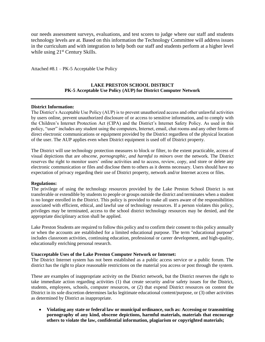our needs assessment surveys, evaluations, and test scores to judge where our staff and students technology levels are at. Based on this information the Technology Committee will address issues in the curriculum and with integration to help both our staff and students perform at a higher level while using 21<sup>st</sup> Century Skills.

Attached #8.1 – PK-5 Acceptable Use Policy

#### **LAKE PRESTON SCHOOL DISTRICT PK-5 Acceptable Use Policy (AUP) for District Computer Network**

#### **District Information:**

The District's Acceptable Use Policy (AUP) is to prevent unauthorized access and other unlawful activities by users online, prevent unauthorized disclosure of or access to sensitive information, and to comply with the Children's Internet Protection Act (CIPA) and the District's Internet Safety Policy. As used in this policy, "user" includes any student using the computers, Internet, email, chat rooms and any other forms of direct electronic communications or equipment provided by the District regardless of the physical location of the user. The AUP applies even when District equipment is used off of District property.

The District will use technology protection measures to block or filter, to the extent practicable, access of visual depictions that are *obscene, pornographic, and harmful to minors* over the network. The District reserves the right to monitor users' online activities and to access, review, copy, and store or delete any electronic communication or files and disclose them to others as it deems necessary. Users should have no expectation of privacy regarding their use of District property, network and/or Internet access or files.

#### **Regulations:**

The privilege of using the technology resources provided by the Lake Preston School District is not transferable or extendible by students to people or groups outside the district and terminates when a student is no longer enrolled in the District. This policy is provided to make all users aware of the responsibilities associated with efficient, ethical, and lawful use of technology resources. If a person violates this policy, privileges may be terminated, access to the school district technology resources may be denied, and the appropriate disciplinary action shall be applied.

Lake Preston Students are required to follow this policy and to confirm their consent to this policy annually or when the accounts are established for a limited educational purpose. The term "educational purpose" includes classroom activities, continuing education, professional or career development, and high-quality, educationally enriching personal research.

#### **Unacceptable Uses of the Lake Preston Computer Network or Internet:**

The District Internet system has not been established as a public access service or a public forum. The district has the right to place reasonable restrictions on the material you access or post through the system.

These are examples of inappropriate activity on the District network, but the District reserves the right to take immediate action regarding activities (1) that create security and/or safety issues for the District, students, employees, schools, computer resources, or (2) that expend District resources on content the District in its sole discretion determines lacks legitimate educational content/purpose, or (3) other activities as determined by District as inappropriate.

• **Violating any state or federal law or municipal ordinance, such as: Accessing or transmitting pornography of any kind, obscene depictions, harmful materials, materials that encourage others to violate the law, confidential information, plagiarism or copyrighted materials;**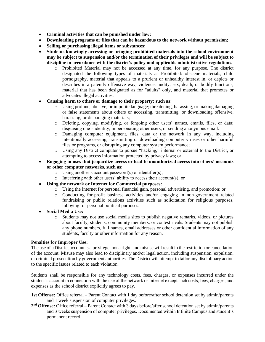- **Criminal activities that can be punished under law;**
- **Downloading programs or files that can be hazardous to the network without permission;**
- **Selling or purchasing illegal items or substances;**
- **Students knowingly accessing or bringing prohibited materials into the school environment may be subject to suspension and/or the termination of their privileges and will be subject to discipline in accordance with the district's policy and applicable administrative regulations.**
	- o Prohibited Material may not be accessed at any time, for any purpose. The district designated the following types of materials as Prohibited: obscene materials, child pornography, material that appeals to a prurient or unhealthy interest in, or depicts or describes in a patently offensive way, violence, nudity, sex, death, or bodily functions, material that has been designated as for "adults" only, and material that promotes or advocates illegal activities.

#### • **Causing harm to others or damage to their property; such as:**

- o Using profane, abusive, or impolite language; threatening, harassing, or making damaging or false statements about others or accessing, transmitting, or downloading offensive, harassing, or disparaging materials;
- o Deleting, copying, modifying, or forgoing other users' names, emails, files, or data; disguising one's identity, impersonating other users, or sending anonymous email:
- o Damaging computer equipment, files, data or the network in any way, including intentionally accessing, transmitting or downloading computer viruses or other harmful files or programs, or disrupting any computer system performance;
- o Using any District computer to pursue "hacking," internal or external to the District, or attempting to access information protected by privacy laws; or
- **Engaging in uses that jeopardize access or lead to unauthorized access into others' accounts or other computer networks, such as:**
	- o Using another's account password(s) or identifier(s);
	- o Interfering with other users' ability to access their account(s); or
- **Using the network or Internet for Commercial purposes:**
	- o Using the Internet for personal financial gain, personal advertising, and promotion; or
	- o Conducting for-profit business activities and/or engaging in non-government related fundraising or public relations activities such as solicitation for religious purposes, lobbying for personal political purposes.
- **Social Media Use:**
	- o Students may not use social media sites to publish negative remarks, videos, or pictures about faculty, students, community members, or contest rivals. Students may not publish any phone numbers, full names, email addresses or other confidential information of any students, faculty or other information for any reason.

#### **Penalties for Improper Use:**

The use of a District account is a privilege, not a right, and misuse will result in the restriction or cancellation of the account. Misuse may also lead to disciplinary and/or legal action, including suspension, expulsion, or criminal prosecution by government authorities. The District will attempt to tailor any disciplinary action to the specific issues related to each violation.

Students shall be responsible for any technology costs, fees, charges, or expenses incurred under the student's account in connection with the use of the network or Internet except such costs, fees, charges, and expenses as the school district explicitly agrees to pay.

- **1st Offense:** Office referral Parent Contact with 1 day before/after school detention set by admin/parents and 1 week suspension of computer privileges.
- **2 nd Offense:** Office referral Parent Contact with 3 days before/after school detention set by admin/parents and 3 weeks suspension of computer privileges. Documented within Infinite Campus and student's permanent record.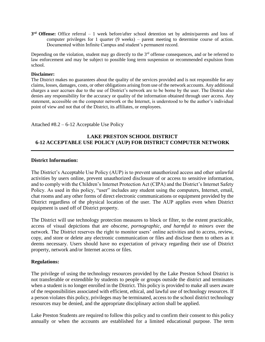**3 rd Offense:** Office referral – 1 week before/after school detention set by admin/parents and loss of computer privileges for 1 quarter (9 weeks) – parent meeting to determine course of action. Documented within Infinite Campus and student's permanent record.

Depending on the violation, student may go directly to the  $3<sup>rd</sup>$  offense consequences, and or be referred to law enforcement and may be subject to possible long term suspension or recommended expulsion from school.

#### **Disclaimer:**

The District makes no guarantees about the quality of the services provided and is not responsible for any claims, losses, damages, costs, or other obligations arising from use of the network accounts. Any additional charges a user accrues due to the use of District's network are to be borne by the user. The District also denies any responsibility for the accuracy or quality of the information obtained through user access. Any statement, accessible on the computer network or the Internet, is understood to be the author's individual point of view and not that of the District, its affiliates, or employees.

#### Attached #8.2 – 6-12 Acceptable Use Policy

#### **LAKE PRESTON SCHOOL DISTRICT 6-12 ACCEPTABLE USE POLICY (AUP) FOR DISTRICT COMPUTER NETWORK**

#### **District Information:**

The District's Acceptable Use Policy (AUP) is to prevent unauthorized access and other unlawful activities by users online, prevent unauthorized disclosure of or access to sensitive information, and to comply with the Children's Internet Protection Act (CIPA) and the District's Internet Safety Policy. As used in this policy, "user" includes any student using the computers, Internet, email, chat rooms and any other forms of direct electronic communications or equipment provided by the District regardless of the physical location of the user. The AUP applies even when District equipment is used off of District property.

The District will use technology protection measures to block or filter, to the extent practicable, access of visual depictions that are *obscene, pornographic, and harmful to minors* over the network. The District reserves the right to monitor users' online activities and to access, review, copy, and store or delete any electronic communication or files and disclose them to others as it deems necessary. Users should have no expectation of privacy regarding their use of District property, network and/or Internet access or files.

#### **Regulations:**

The privilege of using the technology resources provided by the Lake Preston School District is not transferable or extendible by students to people or groups outside the district and terminates when a student is no longer enrolled in the District. This policy is provided to make all users aware of the responsibilities associated with efficient, ethical, and lawful use of technology resources. If a person violates this policy, privileges may be terminated, access to the school district technology resources may be denied, and the appropriate disciplinary action shall be applied.

Lake Preston Students are required to follow this policy and to confirm their consent to this policy annually or when the accounts are established for a limited educational purpose. The term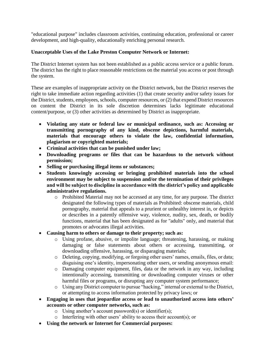"educational purpose" includes classroom activities, continuing education, professional or career development, and high-quality, educationally enriching personal research.

#### **Unacceptable Uses of the Lake Preston Computer Network or Internet:**

The District Internet system has not been established as a public access service or a public forum. The district has the right to place reasonable restrictions on the material you access or post through the system.

These are examples of inappropriate activity on the District network, but the District reserves the right to take immediate action regarding activities (1) that create security and/or safety issues for the District, students, employees, schools, computer resources, or (2) that expend District resources on content the District in its sole discretion determines lacks legitimate educational content/purpose, or (3) other activities as determined by District as inappropriate.

- **Violating any state or federal law or municipal ordinance, such as: Accessing or transmitting pornography of any kind, obscene depictions, harmful materials, materials that encourage others to violate the law, confidential information, plagiarism or copyrighted materials;**
- **Criminal activities that can be punished under law;**
- **Downloading programs or files that can be hazardous to the network without permission;**
- **Selling or purchasing illegal items or substances;**
- **Students knowingly accessing or bringing prohibited materials into the school environment may be subject to suspension and/or the termination of their privileges and will be subject to discipline in accordance with the district's policy and applicable administrative regulations.**
	- o Prohibited Material may not be accessed at any time, for any purpose. The district designated the following types of materials as Prohibited: obscene materials, child pornography, material that appeals to a prurient or unhealthy interest in, or depicts or describes in a patently offensive way, violence, nudity, sex, death, or bodily functions, material that has been designated as for "adults" only, and material that promotes or advocates illegal activities.
- **Causing harm to others or damage to their property; such as:**
	- o Using profane, abusive, or impolite language; threatening, harassing, or making damaging or false statements about others or accessing, transmitting, or downloading offensive, harassing, or disparaging materials;
	- o Deleting, copying, modifying, or forgoing other users' names, emails, files, or data; disguising one's identity, impersonating other users, or sending anonymous email:
	- o Damaging computer equipment, files, data or the network in any way, including intentionally accessing, transmitting or downloading computer viruses or other harmful files or programs, or disrupting any computer system performance;
	- o Using any District computer to pursue "hacking," internal or external to the District, or attempting to access information protected by privacy laws; or
- **Engaging in uses that jeopardize access or lead to unauthorized access into others' accounts or other computer networks, such as:**
	- o Using another's account password(s) or identifier(s);
	- o Interfering with other users' ability to access their account(s); or
- **Using the network or Internet for Commercial purposes:**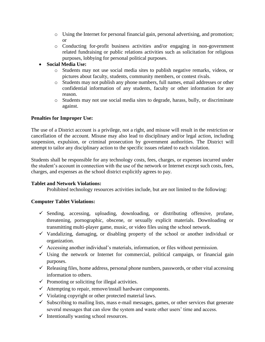- o Using the Internet for personal financial gain, personal advertising, and promotion; or
- o Conducting for-profit business activities and/or engaging in non-government related fundraising or public relations activities such as solicitation for religious purposes, lobbying for personal political purposes.
- **Social Media Use:**
	- o Students may not use social media sites to publish negative remarks, videos, or pictures about faculty, students, community members, or contest rivals.
	- o Students may not publish any phone numbers, full names, email addresses or other confidential information of any students, faculty or other information for any reason.
	- o Students may not use social media sites to degrade, harass, bully, or discriminate against.

#### **Penalties for Improper Use:**

The use of a District account is a privilege, not a right, and misuse will result in the restriction or cancellation of the account. Misuse may also lead to disciplinary and/or legal action, including suspension, expulsion, or criminal prosecution by government authorities. The District will attempt to tailor any disciplinary action to the specific issues related to each violation.

Students shall be responsible for any technology costs, fees, charges, or expenses incurred under the student's account in connection with the use of the network or Internet except such costs, fees, charges, and expenses as the school district explicitly agrees to pay.

#### **Tablet and Network Violations:**

Prohibited technology resources activities include, but are not limited to the following:

#### **Computer Tablet Violations:**

- ✓ Sending, accessing, uploading, downloading, or distributing offensive, profane, threatening, pornographic, obscene, or sexually explicit materials. Downloading or transmitting multi-player game, music, or video files using the school network.
- ✓ Vandalizing, damaging, or disabling property of the school or another individual or organization.
- $\checkmark$  Accessing another individual's materials, information, or files without permission.
- $\checkmark$  Using the network or Internet for commercial, political campaign, or financial gain purposes.
- $\checkmark$  Releasing files, home address, personal phone numbers, passwords, or other vital accessing information to others.
- $\checkmark$  Promoting or soliciting for illegal activities.
- $\checkmark$  Attempting to repair, remove/install hardware components.
- $\checkmark$  Violating copyright or other protected material laws.
- $\checkmark$  Subscribing to mailing lists, mass e-mail messages, games, or other services that generate several messages that can slow the system and waste other users' time and access.
- $\checkmark$  Intentionally wasting school resources.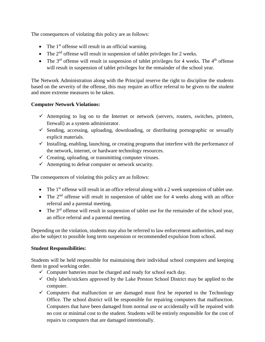The consequences of violating this policy are as follows:

- The  $1<sup>st</sup>$  offense will result in an official warning.
- The  $2<sup>nd</sup>$  offense will result in suspension of tablet privileges for 2 weeks.
- The  $3<sup>rd</sup>$  offense will result in suspension of tablet privileges for 4 weeks. The  $4<sup>th</sup>$  offense will result in suspension of tablet privileges for the remainder of the school year.

The Network Administration along with the Principal reserve the right to discipline the students based on the severity of the offense, this may require an office referral to be given to the student and more extreme measures to be taken.

#### **Computer Network Violations:**

- $\checkmark$  Attempting to log on to the Internet or network (servers, routers, switches, printers, firewall) as a system administrator.
- $\checkmark$  Sending, accessing, uploading, downloading, or distributing pornographic or sexually explicit materials.
- $\checkmark$  Installing, enabling, launching, or creating programs that interfere with the performance of the network, internet, or hardware technology resources.
- $\checkmark$  Creating, uploading, or transmitting computer viruses.
- $\checkmark$  Attempting to defeat computer or network security.

The consequences of violating this policy are as follows:

- The  $1<sup>st</sup>$  offense will result in an office referral along with a 2 week suspension of tablet use.
- The  $2<sup>nd</sup>$  offense will result in suspension of tablet use for 4 weeks along with an office referral and a parental meeting.
- The  $3<sup>rd</sup>$  offense will result in suspension of tablet use for the remainder of the school year, an office referral and a parental meeting.

Depending on the violation, students may also be referred to law enforcement authorities, and may also be subject to possible long term suspension or recommended expulsion from school.

#### **Student Responsibilities:**

Students will be held responsible for maintaining their individual school computers and keeping them in good working order.

- $\checkmark$  Computer batteries must be charged and ready for school each day.
- $\checkmark$  Only labels/stickers approved by the Lake Preston School District may be applied to the computer.
- $\checkmark$  Computers that malfunction or are damaged must first be reported to the Technology Office. The school district will be responsible for repairing computers that malfunction. Computers that have been damaged from normal use or accidentally will be repaired with no cost or minimal cost to the student. Students will be entirely responsible for the cost of repairs to computers that are damaged intentionally.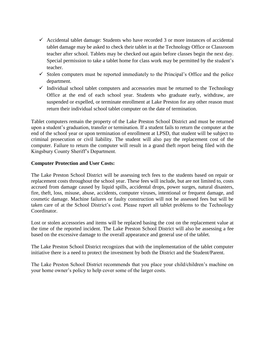- $\checkmark$  Accidental tablet damage: Students who have recorded 3 or more instances of accidental tablet damage may be asked to check their tablet in at the Technology Office or Classroom teacher after school. Tablets may be checked out again before classes begin the next day. Special permission to take a tablet home for class work may be permitted by the student's teacher.
- $\checkmark$  Stolen computers must be reported immediately to the Principal's Office and the police department.
- $\checkmark$  Individual school tablet computers and accessories must be returned to the Technology Office at the end of each school year. Students who graduate early, withdraw, are suspended or expelled, or terminate enrollment at Lake Preston for any other reason must return their individual school tablet computer on the date of termination.

Tablet computers remain the property of the Lake Preston School District and must be returned upon a student's graduation, transfer or termination. If a student fails to return the computer at the end of the school year or upon termination of enrollment at LPSD, that student will be subject to criminal prosecution or civil liability. The student will also pay the replacement cost of the computer. Failure to return the computer will result in a grand theft report being filed with the Kingsbury County Sheriff's Department.

#### **Computer Protection and User Costs:**

The Lake Preston School District will be assessing tech fees to the students based on repair or replacement costs throughout the school year. These fees will include, but are not limited to, costs accrued from damage caused by liquid spills, accidental drops, power surges, natural disasters, fire, theft, loss, misuse, abuse, accidents, computer viruses, intentional or frequent damage, and cosmetic damage. Machine failures or faulty construction will not be assessed fees but will be taken care of at the School District's cost. Please report all tablet problems to the Technology Coordinator.

Lost or stolen accessories and items will be replaced basing the cost on the replacement value at the time of the reported incident. The Lake Preston School District will also be assessing a fee based on the excessive damage to the overall appearance and general use of the tablet.

The Lake Preston School District recognizes that with the implementation of the tablet computer initiative there is a need to protect the investment by both the District and the Student/Parent.

The Lake Preston School District recommends that you place your child/children's machine on your home owner's policy to help cover some of the larger costs.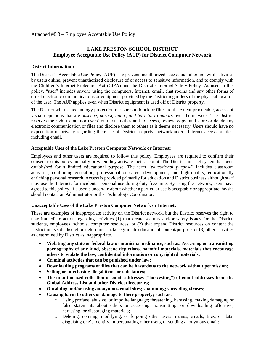#### **LAKE PRESTON SCHOOL DISTRICT Employee Acceptable Use Policy (AUP) for District Computer Network**

#### **District Information:**

The District's Acceptable Use Policy (AUP) is to prevent unauthorized access and other unlawful activities by users online, prevent unauthorized disclosure of or access to sensitive information, and to comply with the Children's Internet Protection Act (CIPA) and the District's Internet Safety Policy. As used in this policy, "user" includes anyone using the computers, Internet, email, chat rooms and any other forms of direct electronic communications or equipment provided by the District regardless of the physical location of the user. The AUP applies even when District equipment is used off of District property.

The District will use technology protection measures to block or filter, to the extent practicable, access of visual depictions that are *obscene, pornographic, and harmful to minors* over the network. The District reserves the right to monitor users' online activities and to access, review, copy, and store or delete any electronic communication or files and disclose them to others as it deems necessary. Users should have no expectation of privacy regarding their use of District property, network and/or Internet access or files, including email.

#### **Acceptable Uses of the Lake Preston Computer Network or Internet:**

Employees and other users are required to follow this policy. Employees are required to confirm their consent to this policy annually or when they activate their account. The District Internet system has been established for a limited educational purpose. The term "*educational purpose*" includes classroom activities, continuing education, professional or career development, and high-quality, educationally enriching personal research. Access is provided primarily for education and District business although staff may use the Internet, for incidental personal use during duty-free time. By using the network, users have agreed to this policy. If a user is uncertain about whether a particular use is acceptable or appropriate, he/she should contact an Administrator or the Technology Coordinator.

#### **Unacceptable Uses of the Lake Preston Computer Network or Internet:**

These are examples of inappropriate activity on the District network, but the District reserves the right to take immediate action regarding activities (1) that create security and/or safety issues for the District, students, employees, schools, computer resources, or (2) that expend District resources on content the District in its sole discretion determines lacks legitimate educational content/purpose, or (3) other activities as determined by District as inappropriate.

- **Violating any state or federal law or municipal ordinance, such as: Accessing or transmitting pornography of any kind, obscene depictions, harmful materials, materials that encourage others to violate the law, confidential information or copyrighted materials;**
- **Criminal activities that can be punished under law;**
- **Downloading programs or files that can be hazardous to the network without permission;**
- **Selling or purchasing illegal items or substances;**
- **The unauthorized collection of email addresses ("harvesting") of email addresses from the Global Address List and other District directories;**
- **Obtaining and/or using anonymous email sites; spamming; spreading viruses;**
- **Causing harm to others or damage to their property; such as:**
	- o Using profane, abusive, or impolite language; threatening, harassing, making damaging or false statements about others or accessing, transmitting, or downloading offensive, harassing, or disparaging materials;
	- o Deleting, copying, modifying, or forgoing other users' names, emails, files, or data; disguising one's identity, impersonating other users, or sending anonymous email: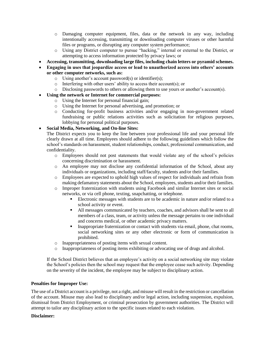- o Damaging computer equipment, files, data or the network in any way, including intentionally accessing, transmitting or downloading computer viruses or other harmful files or programs, or disrupting any computer system performance;
- o Using any District computer to pursue "hacking," internal or external to the District, or attempting to access information protected by privacy laws; or
- **Accessing, transmitting, downloading large files, including chain letters or pyramid schemes.**
- **Engaging in uses that jeopardize access or lead to unauthorized access into others' accounts or other computer networks, such as:**
	- o Using another's account password(s) or identifier(s);
	- o Interfering with other users' ability to access their account(s); or
	- o Disclosing passwords to others or allowing them to use yours or another's account(s).
- **Using the network or Internet for commercial purposes:**
	- o Using the Internet for personal financial gain;
	- o Using the Internet for personal advertising, and promotion; or
	- o Conducting for-profit business activities and/or engaging in non-government related fundraising or public relations activities such as solicitation for religious purposes, lobbying for personal political purposes.

#### • **Social Media, Networking, and On-line Sites:**

The District expects you to keep the line between your professional life and your personal life clearly drawn at all time. Employees should adhere to the following guidelines which follow the school's standards on harassment, student relationships, conduct, professional communication, and confidentiality.

- o Employees should not post statements that would violate any of the school's policies concerning discrimination or harassment.
- o An employee may not disclose any confidential information of the School, about any individuals or organizations, including staff/faculty, students and/or their families.
- o Employees are expected to uphold high values of respect for individuals and refrain from making defamatory statements about the School, employees, students and/or their families.
- o Improper fraternization with students using Facebook and similar Internet sites or social networks, or via cell phone, texting, snapchatting, or telephone.
	- Electronic messages with students are to be academic in nature and/or related to a school activity or event.
	- All messages communicated by teachers, coaches, and advisors shall be sent to all members of a class, team, or activity unless the message pertains to one individual and concerns medical, or other academic privacy matters.
	- **•** Inappropriate fraternization or contact with students via email, phone, chat rooms, social networking sites or any other electronic or form of communication is prohibited.
- o Inappropriateness of posting items with sexual content.
- o Inappropriateness of posting items exhibiting or advocating use of drugs and alcohol.

If the School District believes that an employee's activity on a social networking site may violate the School's policies then the school may request that the employee cease such activity. Depending on the severity of the incident, the employee may be subject to disciplinary action.

#### **Penalties for Improper Use:**

The use of a District account is a privilege, not a right, and misuse will result in the restriction or cancellation of the account. Misuse may also lead to disciplinary and/or legal action, including suspension, expulsion, dismissal from District Employment, or criminal prosecution by government authorities. The District will attempt to tailor any disciplinary action to the specific issues related to each violation.

#### **Disclaimer:**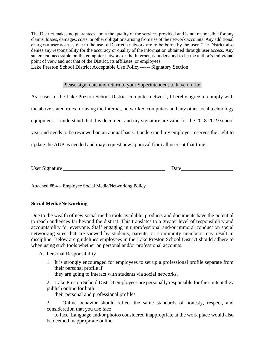The District makes no guarantees about the quality of the services provided and is not responsible for any claims, losses, damages, costs, or other obligations arising from use of the network accounts. Any additional charges a user accrues due to the use of District's network are to be borne by the user. The District also denies any responsibility for the accuracy or quality of the information obtained through user access. Any statement, accessible on the computer network or the Internet, is understood to be the author's individual point of view and not that of the District, its affiliates, or employees.

Lake Preston School District Acceptable Use Policy------ Signatory Section

#### Please sign, date and return to your Superintendent to have on file.

As a user of the Lake Preston School District computer network, I hereby agree to comply with the above stated rules for using the Internet, networked computers and any other local technology equipment. I understand that this document and my signature are valid for the 2018-2019 school year and needs to be reviewed on an annual basis. I understand my employer reserves the right to update the AUP as needed and may request new approval from all users at that time.

User Signature **Date** 

Attached #8.4 – Employee Social Media/Networking Policy

#### **Social Media/Networking**

Due to the wealth of new social media tools available, products and documents have the potential to reach audiences far beyond the district. This translates to a greater level of responsibility and accountability for everyone. Staff engaging in unprofessional and/or immoral conduct on social networking sites that are viewed by students, parents, or community members may result in discipline. Below are guidelines employees in the Lake Preston School District should adhere to when using such tools whether on personal and/or professional accounts.

A. Personal Responsibility

1. It is strongly encouraged for employees to set up a professional profile separate from their personal profile if they are going to interact with students via social networks.

2. Lake Preston School District employees are personally responsible for the content they publish online for both

their personal and professional profiles.

3. Online behavior should reflect the same standards of honesty, respect, and consideration that you use face

to face. Language and/or photos considered inappropriate at the work place would also be deemed inappropriate online.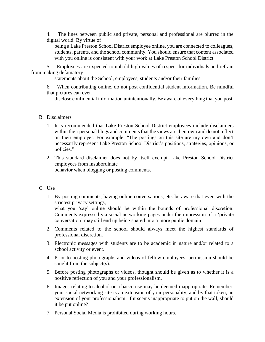4. The lines between public and private, personal and professional are blurred in the digital world. By virtue of

being a Lake Preston School District employee online, you are connected to colleagues, students, parents, and the school community. You should ensure that content associated with you online is consistent with your work at Lake Preston School District.

5. Employees are expected to uphold high values of respect for individuals and refrain from making defamatory

statements about the School, employees, students and/or their families.

6. When contributing online, do not post confidential student information. Be mindful that pictures can even

disclose confidential information unintentionally. Be aware of everything that you post.

#### B. Disclaimers

- 1. It is recommended that Lake Preston School District employees include disclaimers within their personal blogs and comments that the views are their own and do not reflect on their employer. For example, "The postings on this site are my own and don't necessarily represent Lake Preston School District's positions, strategies, opinions, or policies."
- 2. This standard disclaimer does not by itself exempt Lake Preston School District employees from insubordinate behavior when blogging or posting comments.

#### C. Use

1. By posting comments, having online conversations, etc. be aware that even with the strictest privacy settings,

what you 'say' online should be within the bounds of professional discretion. Comments expressed via social networking pages under the impression of a 'private conversation' may still end up being shared into a more public domain.

- 2. Comments related to the school should always meet the highest standards of professional discretion.
- 3. Electronic messages with students are to be academic in nature and/or related to a school activity or event.
- 4. Prior to posting photographs and videos of fellow employees, permission should be sought from the subject(s).
- 5. Before posting photographs or videos, thought should be given as to whether it is a positive reflection of you and your professionalism.
- 6. Images relating to alcohol or tobacco use may be deemed inappropriate. Remember, your social networking site is an extension of your personality, and by that token, an extension of your professionalism. If it seems inappropriate to put on the wall, should it be put online?
- 7. Personal Social Media is prohibited during working hours.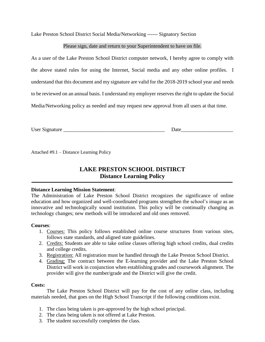Lake Preston School District Social Media/Networking ------ Signatory Section

#### Please sign, date and return to your Superintendent to have on file.

As a user of the Lake Preston School District computer network, I hereby agree to comply with the above stated rules for using the Internet, Social media and any other online profiles. I understand that this document and my signature are valid for the 2018-2019 school year and needs to be reviewed on an annual basis. I understand my employer reserves the right to update the Social Media/Networking policy as needed and may request new approval from all users at that time.

User Signature **Letter**  $\Box$ 

Attached #9.1 – Distance Learning Policy

## **LAKE PRESTON SCHOOL DISTIRCT Distance Learning Policy**

#### **Distance Learning Mission Statement**:

The Administration of Lake Preston School District recognizes the significance of online education and how organized and well-coordinated programs strengthen the school's image as an innovative and technologically sound institution. This policy will be continually changing as technology changes; new methods will be introduced and old ones removed.

#### **Courses**:

- 1. Courses: This policy follows established online course structures from various sites, follows state standards, and aligned state guidelines.
- 2. Credits: Students are able to take online classes offering high school credits, dual credits and college credits.
- 3. Registration: All registration must be handled through the Lake Preston School District.
- 4. Grading: The contract between the E-learning provider and the Lake Preston School District will work in conjunction when establishing grades and coursework alignment. The provider will give the number/grade and the District will give the credit.

#### **Costs:**

The Lake Preston School District will pay for the cost of any online class, including materials needed, that goes on the High School Transcript if the following conditions exist.

- 1. The class being taken is pre-approved by the high school principal.
- 2. The class being taken is not offered at Lake Preston.
- 3. The student successfully completes the class.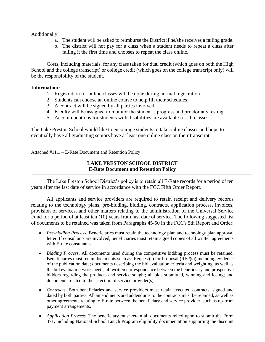#### Additionally:

- a. The student will be asked to reimburse the District if he/she receives a failing grade.
- b. The district will not pay for a class when a student needs to repeat a class after failing it the first time and chooses to repeat the class online.

Costs, including materials, for any class taken for dual credit (which goes on both the High School and the college transcript) or college credit (which goes on the college transcript only) will be the responsibility of the student.

#### **Information:**

- 1. Registration for online classes will be done during normal registration.
- 2. Students can choose an online course to help fill their schedules.
- 3. A contract will be signed by all parties involved.
- 4. Faculty will be assigned to monitor the student's progress and proctor any testing.
- 5. Accommodations for students with disabilities are available for all classes.

The Lake Preston School would like to encourage students to take online classes and hope to eventually have all graduating seniors have at least one online class on their transcript.

Attached #11.1 – E-Rate Document and Retention Policy

#### **LAKE PRESTON SCHOOL DISTRICT E-Rate Document and Retention Policy**

The Lake Preston School District's policy is to retain all E-Rate records for a period of ten years after the last date of service in accordance with the FCC Fifth Order Report.

All applicants and service providers are required to retain receipt and delivery records relating to the technology plans, pre-bidding, bidding, contracts, application process, invoices, provision of services, and other matters relating to the administration of the Universal Service Fund for a period of at least ten (10) years from last date of service. The following suggested list of documents to be retained was taken from Paragraphs 45-50 in the FCC's 5th Report and Order:

- *Pre-bidding Process*. Beneficiaries must retain the technology plan and technology plan approval letter. If consultants are involved, beneficiaries must retain signed copies of all written agreements with E-rate consultants.
- *Bidding Process*. All documents used during the competitive bidding process must be retained. Beneficiaries must retain documents such as: Request(s) for Proposal (RFP(s)) including evidence of the publication date; documents describing the bid evaluation criteria and weighting, as well as the bid evaluation worksheets; all written correspondence between the beneficiary and prospective bidders regarding the products and service sought; all bids submitted, winning and losing; and documents related to the selection of service provider(s).
- *Contracts*. Both beneficiaries and service providers must retain executed contracts, signed and dated by both parties. All amendments and addendums to the contracts must be retained, as well as other agreements relating to E-rate between the beneficiary and service provider, such as up-front payment arrangements.
- *Application Process*. The beneficiary must retain all documents relied upon to submit the Form 471, including National School Lunch Program eligibility documentation supporting the discount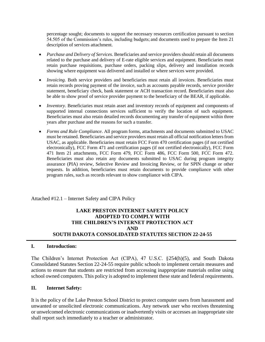percentage sought; documents to support the necessary resources certification pursuant to section 54.505 of the Commission's rules, including budgets; and documents used to prepare the Item 21 description of services attachment.

- *Purchase and Delivery of Services*. Beneficiaries and service providers should retain all documents related to the purchase and delivery of E-rate eligible services and equipment. Beneficiaries must retain purchase requisitions, purchase orders, packing slips, delivery and installation records showing where equipment was delivered and installed or where services were provided.
- *Invoicing*. Both service providers and beneficiaries must retain all invoices. Beneficiaries must retain records proving payment of the invoice, such as accounts payable records, service provider statement, beneficiary check, bank statement or ACH transaction record. Beneficiaries must also be able to show proof of service provider payment to the beneficiary of the BEAR, if applicable.
- *Inventory*. Beneficiaries must retain asset and inventory records of equipment and components of supported internal connections services sufficient to verify the location of such equipment. Beneficiaries must also retain detailed records documenting any transfer of equipment within three years after purchase and the reasons for such a transfer.
- *Forms and Rule Compliance*. All program forms, attachments and documents submitted to USAC must be retained. Beneficiaries and service providers must retain all official notification letters from USAC, as applicable. Beneficiaries must retain FCC Form 470 certification pages (if not certified electronically), FCC Form 471 and certification pages (if not certified electronically), FCC Form 471 Item 21 attachments, FCC Form 479, FCC Form 486, FCC Form 500, FCC Form 472. Beneficiaries must also retain any documents submitted to USAC during program integrity assurance (PIA) review, Selective Review and Invoicing Review, or for SPIN change or other requests. In addition, beneficiaries must retain documents to provide compliance with other program rules, such as records relevant to show compliance with CIPA.

Attached #12.1 – Internet Safety and CIPA Policy

#### **LAKE PRESTON INTERNET SAFETY POLICY ADOPTED TO COMPLY WITH THE CHILDREN'S INTERNET PROTECTION ACT AND SOUTH DAKOTA CONSOLIDATED STATUTES SECTION 22-24-55**

#### **I. Introduction:**

The Children's Internet Protection Act (CIPA), 47 U.S.C. §254(h)(5), and South Dakota Consolidated Statutes Section 22-24-55 require public schools to implement certain measures and actions to ensure that students are restricted from accessing inappropriate materials online using school owned computers. This policy is adopted to implement these state and federal requirements.

#### **II. Internet Safety:**

It is the policy of the Lake Preston School District to protect computer users from harassment and unwanted or unsolicited electronic communications. Any network user who receives threatening or unwelcomed electronic communications or inadvertently visits or accesses an inappropriate site shall report such immediately to a teacher or administrator.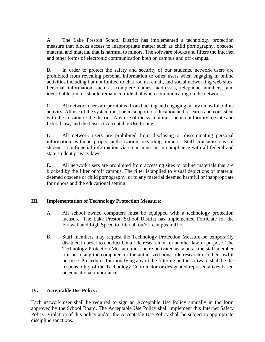A. The Lake Preston School District has implemented a technology protection measure that blocks access to inappropriate matter such as child pornography, obscene material and material that is harmful to minors. The software blocks and filters the Internet and other forms of electronic communication both on campus and off campus.

B. In order to protect the safety and security of our students, network users are prohibited from revealing personal information to other users when engaging in online activities including but not limited to chat rooms, email, and social networking web sites. Personal information such as complete names, addresses, telephone numbers, and identifiable photos should remain confidential when communicating on the network.

C. All network users are prohibited from hacking and engaging in any unlawful online activity. All use of the system must be in support of education and research and consistent with the mission of the district. Any use of the system must be in conformity to state and federal law, and the District Acceptable Use Policy.

D. All network users are prohibited from disclosing or disseminating personal information without proper authorization regarding minors. Staff transmissions of student's confidential information via-email must be in compliance with all federal and state student privacy laws.

E. All network users are prohibited from accessing sites or online materials that are blocked by the filter on/off campus. The filter is applied to visual depictions of material deemed obscene or child pornography, or to any material deemed harmful or inappropriate for minors and the educational setting.

#### **III. Implementation of Technology Protection Measure:**

- A. All school owned computers must be equipped with a technology protection measure. The Lake Preston School District has implemented FortiGate for the Firewall and LightSpeed to filter all on/off campus traffic.
- B. Staff members may request the Technology Protection Measure be temporarily disabled in order to conduct bona fide research or for another lawful purpose. The Technology Protection Measure must be re-activated as soon as the staff member finishes using the computer for the authorized bona fide research or other lawful purpose. Procedures for modifying any of the filtering on the software shall be the responsibility of the Technology Coordinator or designated representatives based on educational importance.

#### **IV. Acceptable Use Policy:**

Each network user shall be required to sign an Acceptable Use Policy annually in the form approved by the School Board. The Acceptable Use Policy shall implement this Internet Safety Policy. Violation of this policy and/or the Acceptable Use Policy shall be subject to appropriate discipline sanctions.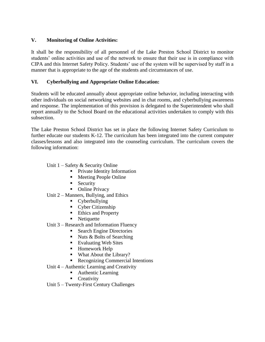#### **V. Monitoring of Online Activities:**

It shall be the responsibility of all personnel of the Lake Preston School District to monitor students' online activities and use of the network to ensure that their use is in compliance with CIPA and this Internet Safety Policy. Students' use of the system will be supervised by staff in a manner that is appropriate to the age of the students and circumstances of use.

#### **VI. Cyberbullying and Appropriate Online Education:**

Students will be educated annually about appropriate online behavior, including interacting with other individuals on social networking websites and in chat rooms, and cyberbullying awareness and response. The implementation of this provision is delegated to the Superintendent who shall report annually to the School Board on the educational activities undertaken to comply with this subsection.

The Lake Preston School District has set in place the following Internet Safety Curriculum to further educate our students K-12. The curriculum has been integrated into the current computer classes/lessons and also integrated into the counseling curriculum. The curriculum covers the following information:

#### Unit  $1 -$  Safety & Security Online

- **•** Private Identity Information
- Meeting People Online
- **E** Security
- Online Privacy

#### Unit 2 – Manners, Bullying, and Ethics

- Cyberbullying
- Cyber Citizenship
- Ethics and Property
- Netiquette
- Unit 3 Research and Information Fluency
	- Search Engine Directories
	- $\blacksquare$  Nuts & Bolts of Searching
	- Evaluating Web Sites
	- Homework Help
	- What About the Library?
	- Recognizing Commercial Intentions
- Unit 4 Authentic Learning and Creativity
	- Authentic Learning
	- Creativity
- Unit 5 Twenty-First Century Challenges